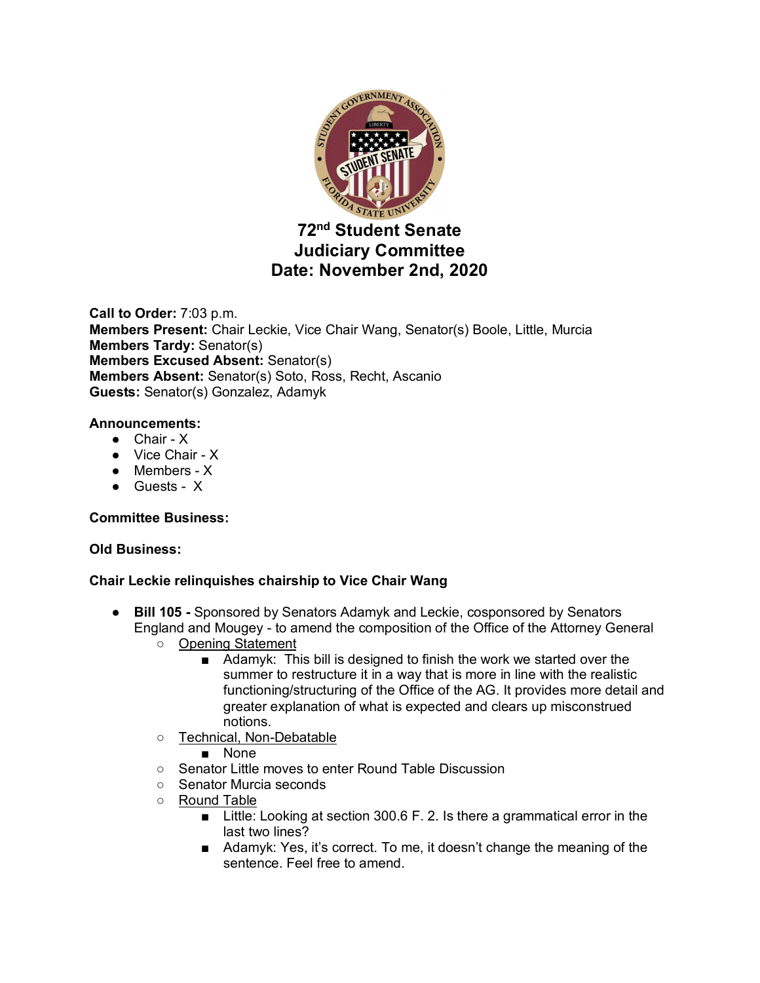

# **72nd Student Senate Judiciary Committee Date: November 2nd, 2020**

**Call to Order:** 7:03 p.m. **Members Present:** Chair Leckie, Vice Chair Wang, Senator(s) Boole, Little, Murcia **Members Tardy:** Senator(s) **Members Excused Absent:** Senator(s) **Members Absent:** Senator(s) Soto, Ross, Recht, Ascanio **Guests:** Senator(s) Gonzalez, Adamyk

## **Announcements:**

- Chair X
- Vice Chair X
- Members X
- Guests X

## **Committee Business:**

## **Old Business:**

## **Chair Leckie relinquishes chairship to Vice Chair Wang**

- **Bill 105 -** Sponsored by Senators Adamyk and Leckie, cosponsored by Senators England and Mougey - to amend the composition of the Office of the Attorney General
	- Opening Statement
		- Adamyk: This bill is designed to finish the work we started over the summer to restructure it in a way that is more in line with the realistic functioning/structuring of the Office of the AG. It provides more detail and greater explanation of what is expected and clears up misconstrued notions.
	- Technical, Non-Debatable
		- None
	- Senator Little moves to enter Round Table Discussion
	- Senator Murcia seconds
	- Round Table
		- Little: Looking at section 300.6 F. 2. Is there a grammatical error in the last two lines?
		- Adamyk: Yes, it's correct. To me, it doesn't change the meaning of the sentence. Feel free to amend.